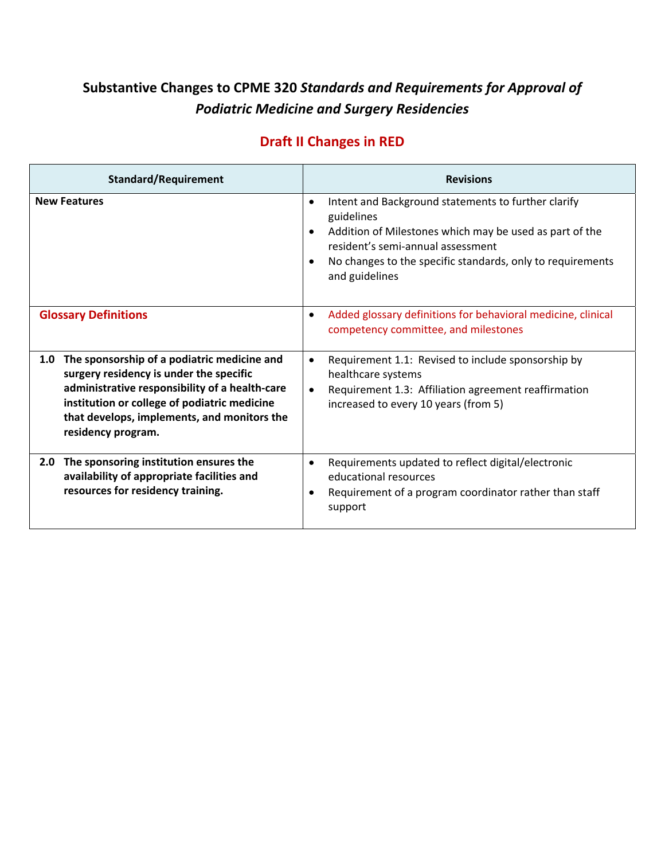## **Substantive Changes to CPME 320** *Standards and Requirements for Approval of Podiatric Medicine and Surgery Residencies*

## **Draft II Changes in RED**

| <b>Standard/Requirement</b>                                                                                                                                                                                                                                          | <b>Revisions</b>                                                                                                                                                                                                                                                                                                                                                                    |
|----------------------------------------------------------------------------------------------------------------------------------------------------------------------------------------------------------------------------------------------------------------------|-------------------------------------------------------------------------------------------------------------------------------------------------------------------------------------------------------------------------------------------------------------------------------------------------------------------------------------------------------------------------------------|
| <b>New Features</b><br><b>Glossary Definitions</b>                                                                                                                                                                                                                   | Intent and Background statements to further clarify<br>$\bullet$<br>guidelines<br>Addition of Milestones which may be used as part of the<br>resident's semi-annual assessment<br>No changes to the specific standards, only to requirements<br>and guidelines<br>Added glossary definitions for behavioral medicine, clinical<br>$\bullet$<br>competency committee, and milestones |
| The sponsorship of a podiatric medicine and<br>1.0<br>surgery residency is under the specific<br>administrative responsibility of a health-care<br>institution or college of podiatric medicine<br>that develops, implements, and monitors the<br>residency program. | Requirement 1.1: Revised to include sponsorship by<br>$\bullet$<br>healthcare systems<br>Requirement 1.3: Affiliation agreement reaffirmation<br>increased to every 10 years (from 5)                                                                                                                                                                                               |
| The sponsoring institution ensures the<br>2.0<br>availability of appropriate facilities and<br>resources for residency training.                                                                                                                                     | Requirements updated to reflect digital/electronic<br>$\bullet$<br>educational resources<br>Requirement of a program coordinator rather than staff<br>support                                                                                                                                                                                                                       |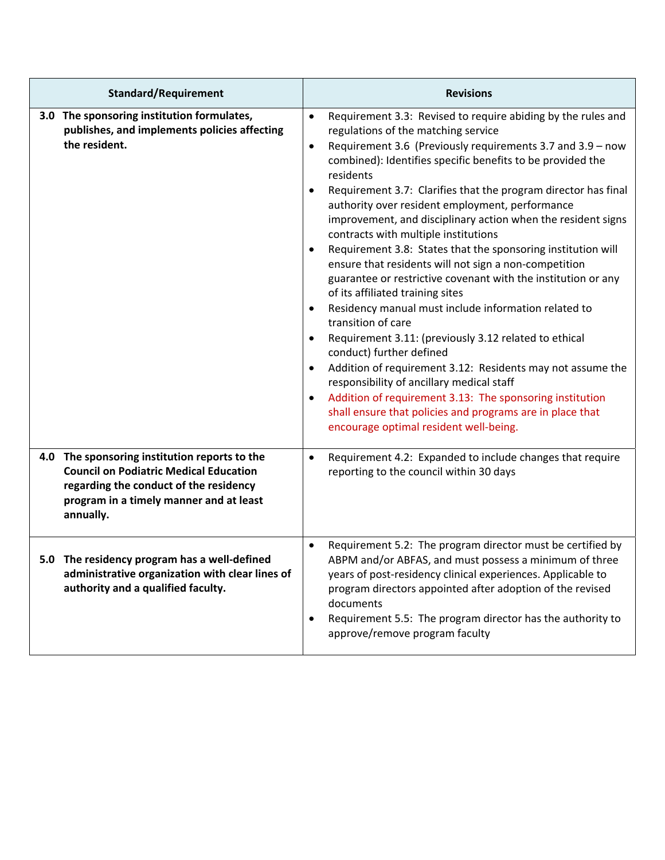| <b>Standard/Requirement</b>                                                                                                                                                                      | <b>Revisions</b>                                                                                                                                                                                                                                                                                                                                                                                                                                                                                                                                                                                                                                                                                                                                                                                                                                                                                                                                                                                                                                                                                                                                                                   |
|--------------------------------------------------------------------------------------------------------------------------------------------------------------------------------------------------|------------------------------------------------------------------------------------------------------------------------------------------------------------------------------------------------------------------------------------------------------------------------------------------------------------------------------------------------------------------------------------------------------------------------------------------------------------------------------------------------------------------------------------------------------------------------------------------------------------------------------------------------------------------------------------------------------------------------------------------------------------------------------------------------------------------------------------------------------------------------------------------------------------------------------------------------------------------------------------------------------------------------------------------------------------------------------------------------------------------------------------------------------------------------------------|
| 3.0 The sponsoring institution formulates,<br>publishes, and implements policies affecting<br>the resident.                                                                                      | Requirement 3.3: Revised to require abiding by the rules and<br>$\bullet$<br>regulations of the matching service<br>Requirement 3.6 (Previously requirements 3.7 and 3.9 - now<br>$\bullet$<br>combined): Identifies specific benefits to be provided the<br>residents<br>Requirement 3.7: Clarifies that the program director has final<br>authority over resident employment, performance<br>improvement, and disciplinary action when the resident signs<br>contracts with multiple institutions<br>Requirement 3.8: States that the sponsoring institution will<br>ensure that residents will not sign a non-competition<br>guarantee or restrictive covenant with the institution or any<br>of its affiliated training sites<br>Residency manual must include information related to<br>transition of care<br>Requirement 3.11: (previously 3.12 related to ethical<br>conduct) further defined<br>Addition of requirement 3.12: Residents may not assume the<br>responsibility of ancillary medical staff<br>Addition of requirement 3.13: The sponsoring institution<br>shall ensure that policies and programs are in place that<br>encourage optimal resident well-being. |
| 4.0 The sponsoring institution reports to the<br><b>Council on Podiatric Medical Education</b><br>regarding the conduct of the residency<br>program in a timely manner and at least<br>annually. | Requirement 4.2: Expanded to include changes that require<br>$\bullet$<br>reporting to the council within 30 days                                                                                                                                                                                                                                                                                                                                                                                                                                                                                                                                                                                                                                                                                                                                                                                                                                                                                                                                                                                                                                                                  |
| 5.0 The residency program has a well-defined<br>administrative organization with clear lines of<br>authority and a qualified faculty.                                                            | Requirement 5.2: The program director must be certified by<br>$\bullet$<br>ABPM and/or ABFAS, and must possess a minimum of three<br>years of post-residency clinical experiences. Applicable to<br>program directors appointed after adoption of the revised<br>documents<br>Requirement 5.5: The program director has the authority to<br>$\bullet$<br>approve/remove program faculty                                                                                                                                                                                                                                                                                                                                                                                                                                                                                                                                                                                                                                                                                                                                                                                            |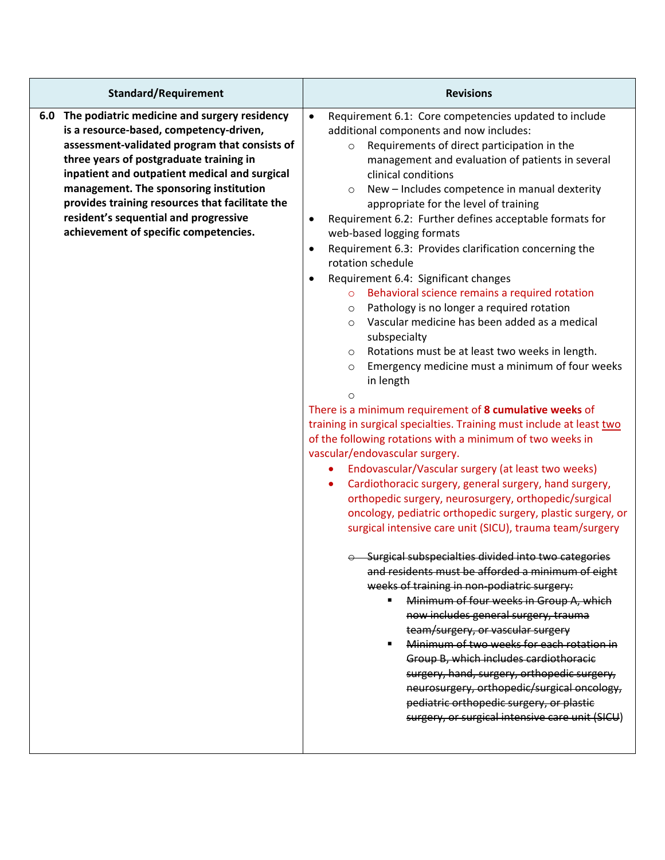| <b>Standard/Requirement</b>                                                                                                                                                                                                                                                                                                                                                                                             | <b>Revisions</b>                                                                                                                                                                                                                                                                                                                                                                                                                                                                                                                                                                                                                                                                                                                                                                                                                                                                                                                                                                                                                                                                                                                                                                                                                                                                                                                                                                                                                                                                                                                                                                                                                                                                                                                                                                                                                                                                                                                                                                                                                                               |
|-------------------------------------------------------------------------------------------------------------------------------------------------------------------------------------------------------------------------------------------------------------------------------------------------------------------------------------------------------------------------------------------------------------------------|----------------------------------------------------------------------------------------------------------------------------------------------------------------------------------------------------------------------------------------------------------------------------------------------------------------------------------------------------------------------------------------------------------------------------------------------------------------------------------------------------------------------------------------------------------------------------------------------------------------------------------------------------------------------------------------------------------------------------------------------------------------------------------------------------------------------------------------------------------------------------------------------------------------------------------------------------------------------------------------------------------------------------------------------------------------------------------------------------------------------------------------------------------------------------------------------------------------------------------------------------------------------------------------------------------------------------------------------------------------------------------------------------------------------------------------------------------------------------------------------------------------------------------------------------------------------------------------------------------------------------------------------------------------------------------------------------------------------------------------------------------------------------------------------------------------------------------------------------------------------------------------------------------------------------------------------------------------------------------------------------------------------------------------------------------------|
| 6.0 The podiatric medicine and surgery residency<br>is a resource-based, competency-driven,<br>assessment-validated program that consists of<br>three years of postgraduate training in<br>inpatient and outpatient medical and surgical<br>management. The sponsoring institution<br>provides training resources that facilitate the<br>resident's sequential and progressive<br>achievement of specific competencies. | $\bullet$<br>Requirement 6.1: Core competencies updated to include<br>additional components and now includes:<br>Requirements of direct participation in the<br>$\circ$<br>management and evaluation of patients in several<br>clinical conditions<br>New - Includes competence in manual dexterity<br>appropriate for the level of training<br>Requirement 6.2: Further defines acceptable formats for<br>$\bullet$<br>web-based logging formats<br>Requirement 6.3: Provides clarification concerning the<br>٠<br>rotation schedule<br>Requirement 6.4: Significant changes<br>$\bullet$<br>o Behavioral science remains a required rotation<br>Pathology is no longer a required rotation<br>$\circ$<br>Vascular medicine has been added as a medical<br>$\circ$<br>subspecialty<br>Rotations must be at least two weeks in length.<br>$\circ$<br>Emergency medicine must a minimum of four weeks<br>$\circ$<br>in length<br>$\Omega$<br>There is a minimum requirement of 8 cumulative weeks of<br>training in surgical specialties. Training must include at least two<br>of the following rotations with a minimum of two weeks in<br>vascular/endovascular surgery.<br>Endovascular/Vascular surgery (at least two weeks)<br>Cardiothoracic surgery, general surgery, hand surgery,<br>orthopedic surgery, neurosurgery, orthopedic/surgical<br>oncology, pediatric orthopedic surgery, plastic surgery, or<br>surgical intensive care unit (SICU), trauma team/surgery<br>$\odot$ -Surgical subspecialties divided into two categories<br>and residents must be afforded a minimum of eight<br>weeks of training in non-podiatric surgery:<br>Minimum of four weeks in Group A, which<br>now includes general surgery, trauma<br>team/surgery, or vascular surgery<br>Minimum of two weeks for each rotation in<br>Group B, which includes cardiothoracic<br>surgery, hand, surgery, orthopedic surgery,<br>neurosurgery, orthopedic/surgical oncology,<br>pediatric orthopedic surgery, or plastic<br>surgery, or surgical intensive care unit (SICU) |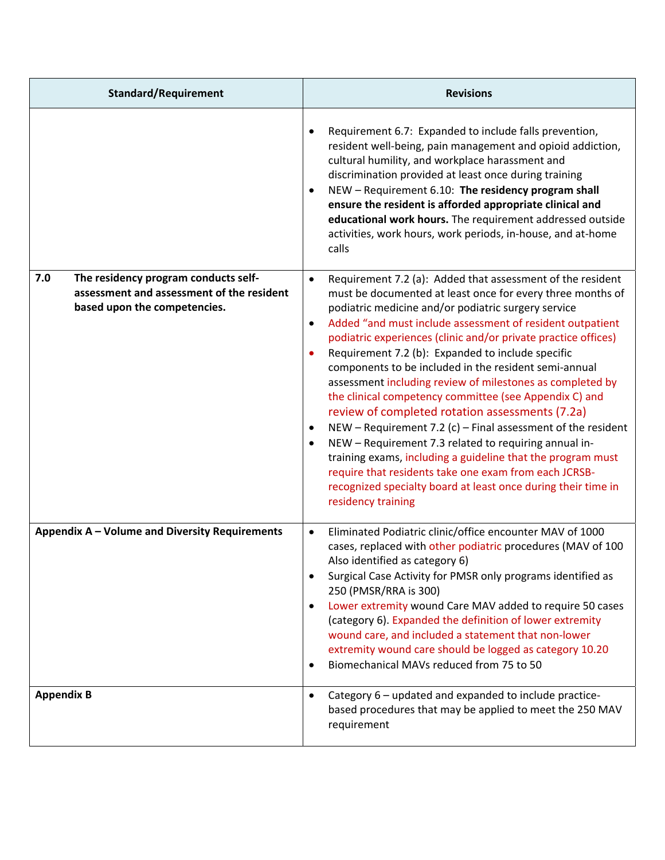| <b>Standard/Requirement</b>                                                                                              | <b>Revisions</b>                                                                                                                                                                                                                                                                                                                                                                                                                                                                                                                                                                                                                                                                                                                                                                                                                                                                                                                                                                                                |
|--------------------------------------------------------------------------------------------------------------------------|-----------------------------------------------------------------------------------------------------------------------------------------------------------------------------------------------------------------------------------------------------------------------------------------------------------------------------------------------------------------------------------------------------------------------------------------------------------------------------------------------------------------------------------------------------------------------------------------------------------------------------------------------------------------------------------------------------------------------------------------------------------------------------------------------------------------------------------------------------------------------------------------------------------------------------------------------------------------------------------------------------------------|
|                                                                                                                          | Requirement 6.7: Expanded to include falls prevention,<br>$\bullet$<br>resident well-being, pain management and opioid addiction,<br>cultural humility, and workplace harassment and<br>discrimination provided at least once during training<br>NEW - Requirement 6.10: The residency program shall<br>$\bullet$<br>ensure the resident is afforded appropriate clinical and<br>educational work hours. The requirement addressed outside<br>activities, work hours, work periods, in-house, and at-home<br>calls                                                                                                                                                                                                                                                                                                                                                                                                                                                                                              |
| 7.0<br>The residency program conducts self-<br>assessment and assessment of the resident<br>based upon the competencies. | Requirement 7.2 (a): Added that assessment of the resident<br>$\bullet$<br>must be documented at least once for every three months of<br>podiatric medicine and/or podiatric surgery service<br>Added "and must include assessment of resident outpatient<br>$\bullet$<br>podiatric experiences (clinic and/or private practice offices)<br>Requirement 7.2 (b): Expanded to include specific<br>$\bullet$<br>components to be included in the resident semi-annual<br>assessment including review of milestones as completed by<br>the clinical competency committee (see Appendix C) and<br>review of completed rotation assessments (7.2a)<br>NEW – Requirement 7.2 (c) – Final assessment of the resident<br>$\bullet$<br>NEW - Requirement 7.3 related to requiring annual in-<br>$\bullet$<br>training exams, including a guideline that the program must<br>require that residents take one exam from each JCRSB-<br>recognized specialty board at least once during their time in<br>residency training |
| Appendix A - Volume and Diversity Requirements                                                                           | Eliminated Podiatric clinic/office encounter MAV of 1000<br>$\bullet$<br>cases, replaced with other podiatric procedures (MAV of 100<br>Also identified as category 6)<br>Surgical Case Activity for PMSR only programs identified as<br>$\bullet$<br>250 (PMSR/RRA is 300)<br>Lower extremity wound Care MAV added to require 50 cases<br>$\bullet$<br>(category 6). Expanded the definition of lower extremity<br>wound care, and included a statement that non-lower<br>extremity wound care should be logged as category 10.20<br>Biomechanical MAVs reduced from 75 to 50<br>$\bullet$                                                                                                                                                                                                                                                                                                                                                                                                                     |
| <b>Appendix B</b>                                                                                                        | Category 6 - updated and expanded to include practice-<br>$\bullet$<br>based procedures that may be applied to meet the 250 MAV<br>requirement                                                                                                                                                                                                                                                                                                                                                                                                                                                                                                                                                                                                                                                                                                                                                                                                                                                                  |